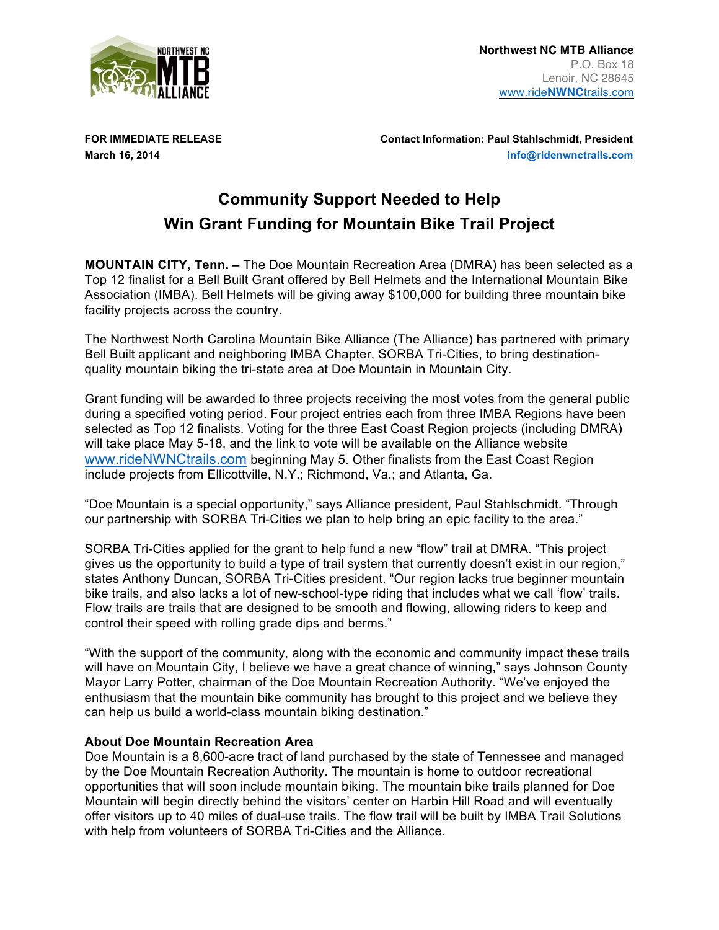

**FOR IMMEDIATE RELEASE Contact Information: Paul Stahlschmidt, President March 16, 2014 info@ridenwnctrails.com**

## **Community Support Needed to Help Win Grant Funding for Mountain Bike Trail Project**

**MOUNTAIN CITY, Tenn. –** The Doe Mountain Recreation Area (DMRA) has been selected as a Top 12 finalist for a Bell Built Grant offered by Bell Helmets and the International Mountain Bike Association (IMBA). Bell Helmets will be giving away \$100,000 for building three mountain bike facility projects across the country.

The Northwest North Carolina Mountain Bike Alliance (The Alliance) has partnered with primary Bell Built applicant and neighboring IMBA Chapter, SORBA Tri-Cities, to bring destinationquality mountain biking the tri-state area at Doe Mountain in Mountain City.

Grant funding will be awarded to three projects receiving the most votes from the general public during a specified voting period. Four project entries each from three IMBA Regions have been selected as Top 12 finalists. Voting for the three East Coast Region projects (including DMRA) will take place May 5-18, and the link to vote will be available on the Alliance website www.rideNWNCtrails.com beginning May 5. Other finalists from the East Coast Region include projects from Ellicottville, N.Y.; Richmond, Va.; and Atlanta, Ga.

"Doe Mountain is a special opportunity," says Alliance president, Paul Stahlschmidt. "Through our partnership with SORBA Tri-Cities we plan to help bring an epic facility to the area."

SORBA Tri-Cities applied for the grant to help fund a new "flow" trail at DMRA. "This project gives us the opportunity to build a type of trail system that currently doesn't exist in our region," states Anthony Duncan, SORBA Tri-Cities president. "Our region lacks true beginner mountain bike trails, and also lacks a lot of new-school-type riding that includes what we call 'flow' trails. Flow trails are trails that are designed to be smooth and flowing, allowing riders to keep and control their speed with rolling grade dips and berms."

"With the support of the community, along with the economic and community impact these trails will have on Mountain City, I believe we have a great chance of winning," says Johnson County Mayor Larry Potter, chairman of the Doe Mountain Recreation Authority. "We've enjoyed the enthusiasm that the mountain bike community has brought to this project and we believe they can help us build a world-class mountain biking destination."

## **About Doe Mountain Recreation Area**

Doe Mountain is a 8,600-acre tract of land purchased by the state of Tennessee and managed by the Doe Mountain Recreation Authority. The mountain is home to outdoor recreational opportunities that will soon include mountain biking. The mountain bike trails planned for Doe Mountain will begin directly behind the visitors' center on Harbin Hill Road and will eventually offer visitors up to 40 miles of dual-use trails. The flow trail will be built by IMBA Trail Solutions with help from volunteers of SORBA Tri-Cities and the Alliance.